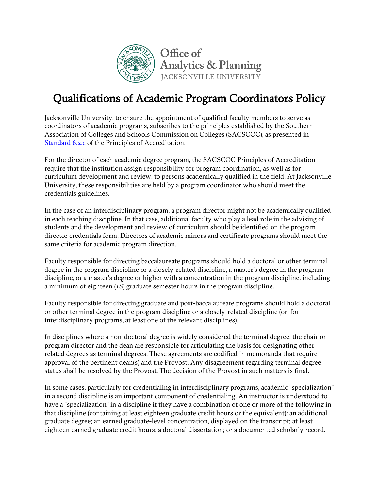

## Qualifications of Academic Program Coordinators Policy

Jacksonville University, to ensure the appointment of qualified faculty members to serve as coordinators of academic programs, subscribes to the principles established by the Southern Association of Colleges and Schools Commission on Colleges (SACSCOC), as presented in [Standard 6.2.c](https://www.ju.edu/analyticsandplanning/assessmentandaccreditation/SACSCOC6.2.c.pdf) of the Principles of Accreditation.

For the director of each academic degree program, the SACSCOC Principles of Accreditation require that the institution assign responsibility for program coordination, as well as for curriculum development and review, to persons academically qualified in the field. At Jacksonville University, these responsibilities are held by a program coordinator who should meet the credentials guidelines.

In the case of an interdisciplinary program, a program director might not be academically qualified in each teaching discipline. In that case, additional faculty who play a lead role in the advising of students and the development and review of curriculum should be identified on the program director credentials form. Directors of academic minors and certificate programs should meet the same criteria for academic program direction.

Faculty responsible for directing baccalaureate programs should hold a doctoral or other terminal degree in the program discipline or a closely-related discipline, a master's degree in the program discipline, or a master's degree or higher with a concentration in the program discipline, including a minimum of eighteen (18) graduate semester hours in the program discipline.

Faculty responsible for directing graduate and post-baccalaureate programs should hold a doctoral or other terminal degree in the program discipline or a closely-related discipline (or, for interdisciplinary programs, at least one of the relevant disciplines).

In disciplines where a non-doctoral degree is widely considered the terminal degree, the chair or program director and the dean are responsible for articulating the basis for designating other related degrees as terminal degrees. These agreements are codified in memoranda that require approval of the pertinent dean(s) and the Provost. Any disagreement regarding terminal degree status shall be resolved by the Provost. The decision of the Provost in such matters is final.

In some cases, particularly for credentialing in interdisciplinary programs, academic "specialization" in a second discipline is an important component of credentialing. An instructor is understood to have a "specialization" in a discipline if they have a combination of one or more of the following in that discipline (containing at least eighteen graduate credit hours or the equivalent): an additional graduate degree; an earned graduate-level concentration, displayed on the transcript; at least eighteen earned graduate credit hours; a doctoral dissertation; or a documented scholarly record.